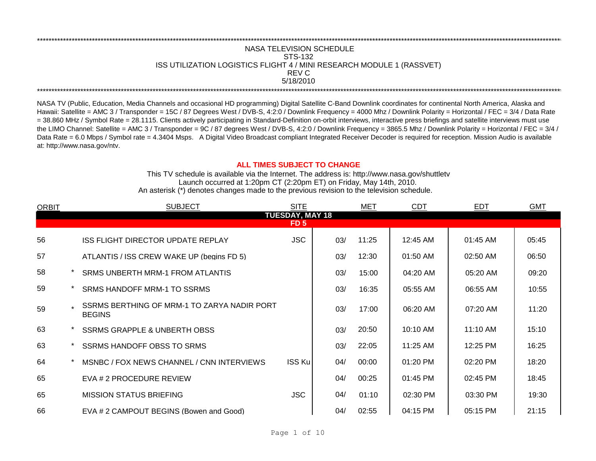## REV C \*\*\*\*\*\*\*\*\*\*\*\*\*\*\*\*\*\*\*\*\*\*\*\*\*\*\*\*\*\*\*\*\*\*\*\*\*\*\*\*\*\*\*\*\*\*\*\*\*\*\*\*\*\*\*\*\*\*\*\*\*\*\*\*\*\*\*\*\*\*\*\*\*\*\*\*\*\*\*\*\*\*\*\*\*\*\*\*\*\*\*\*\*\*\*\*\*\*\*\*\*\*\*\*\*\*\*\*\*\*\*\*\*\*\*\*\*\*\*\*\*\*\*\*\*\*\*\*\*\*\*\*\*\*\*\*\*\*\*\*\*\*\*\*\*\*\*\*\*\*\*\*\*\*\*\*\*\*\*\*\*\*\*\*\*\*\*\*\*\*\*\*\*\*\*\*\*\*\*\*\*\*\*\*\* NASA TELEVISION SCHEDULE STS-132 ISS UTILIZATION LOGISTICS FLIGHT 4 / MINI RESEARCH MODULE 1 (RASSVET) 5/18/2010 \*\*\*\*\*\*\*\*\*\*\*\*\*\*\*\*\*\*\*\*\*\*\*\*\*\*\*\*\*\*\*\*\*\*\*\*\*\*\*\*\*\*\*\*\*\*\*\*\*\*\*\*\*\*\*\*\*\*\*\*\*\*\*\*\*\*\*\*\*\*\*\*\*\*\*\*\*\*\*\*\*\*\*\*\*\*\*\*\*\*\*\*\*\*\*\*\*\*\*\*\*\*\*\*\*\*\*\*\*\*\*\*\*\*\*\*\*\*\*\*\*\*\*\*\*\*\*\*\*\*\*\*\*\*\*\*\*\*\*\*\*\*\*\*\*\*\*\*\*\*\*\*\*\*\*\*\*\*\*\*\*\*\*\*\*\*\*\*\*\*\*\*\*\*\*\*\*\*\*\*\*\*\*\*\*

NASA TV (Public, Education, Media Channels and occasional HD programming) Digital Satellite C-Band Downlink coordinates for continental North America, Alaska and Hawaii: Satellite = AMC 3 / Transponder = 15C / 87 Degrees West / DVB-S, 4:2:0 / Downlink Frequency = 4000 Mhz / Downlink Polarity = Horizontal / FEC = 3/4 / Data Rate = 38.860 MHz / Symbol Rate = 28.1115. Clients actively participating in Standard-Definition on-orbit interviews, interactive press briefings and satellite interviews must use the LIMO Channel: Satellite = AMC 3 / Transponder = 9C / 87 degrees West / DVB-S, 4:2:0 / Downlink Frequency = 3865.5 Mhz / Downlink Polarity = Horizontal / FEC = 3/4 / Data Rate = 6.0 Mbps / Symbol rate = 4.3404 Msps. A Digital Video Broadcast compliant Integrated Receiver Decoder is required for reception. Mission Audio is available at: http://www.nasa.gov/ntv.

## **ALL TIMES SUBJECT TO CHANGE**

Launch occurred at 1:20pm CT (2:20pm ET) on Friday, May 14th, 2010. An asterisk (\*) denotes changes made to the previous revision to the television schedule. This TV schedule is available via the Internet. The address is: http://www.nasa.gov/shuttletv

| <b>ORBIT</b> |                                | <b>SUBJECT</b>                                               | <b>SITE</b> |     | MET   | <b>CDT</b> | <b>EDT</b> | <b>GMT</b> |  |  |  |
|--------------|--------------------------------|--------------------------------------------------------------|-------------|-----|-------|------------|------------|------------|--|--|--|
|              | <b>TUESDAY, MAY 18</b><br>FD 5 |                                                              |             |     |       |            |            |            |  |  |  |
|              |                                |                                                              |             |     |       |            |            |            |  |  |  |
| 56           |                                | <b>ISS FLIGHT DIRECTOR UPDATE REPLAY</b>                     | <b>JSC</b>  | 03/ | 11:25 | 12:45 AM   | 01:45 AM   | 05:45      |  |  |  |
| 57           |                                | ATLANTIS / ISS CREW WAKE UP (begins FD 5)                    |             | 03/ | 12:30 | 01:50 AM   | 02:50 AM   | 06:50      |  |  |  |
| 58           |                                | SRMS UNBERTH MRM-1 FROM ATLANTIS                             |             | 03/ | 15:00 | 04:20 AM   | 05:20 AM   | 09:20      |  |  |  |
| 59           |                                | <b>SRMS HANDOFF MRM-1 TO SSRMS</b>                           |             | 03/ | 16:35 | 05:55 AM   | 06:55 AM   | 10:55      |  |  |  |
| 59           |                                | SSRMS BERTHING OF MRM-1 TO ZARYA NADIR PORT<br><b>BEGINS</b> |             | 03/ | 17:00 | 06:20 AM   | 07:20 AM   | 11:20      |  |  |  |
| 63           |                                | <b>SSRMS GRAPPLE &amp; UNBERTH OBSS</b>                      |             | 03/ | 20:50 | 10:10 AM   | $11:10$ AM | 15:10      |  |  |  |
| 63           |                                | SSRMS HANDOFF OBSS TO SRMS                                   |             | 03/ | 22:05 | 11:25 AM   | 12:25 PM   | 16:25      |  |  |  |
| 64           |                                | MSNBC / FOX NEWS CHANNEL / CNN INTERVIEWS                    | ISS Ku      | 04/ | 00:00 | $01:20$ PM | 02:20 PM   | 18:20      |  |  |  |
| 65           |                                | EVA # 2 PROCEDURE REVIEW                                     |             | 04/ | 00:25 | $01:45$ PM | 02:45 PM   | 18:45      |  |  |  |
| 65           |                                | <b>MISSION STATUS BRIEFING</b>                               | <b>JSC</b>  | 04/ | 01:10 | 02:30 PM   | 03:30 PM   | 19:30      |  |  |  |
| 66           |                                | EVA # 2 CAMPOUT BEGINS (Bowen and Good)                      |             | 04/ | 02:55 | 04:15 PM   | 05:15 PM   | 21:15      |  |  |  |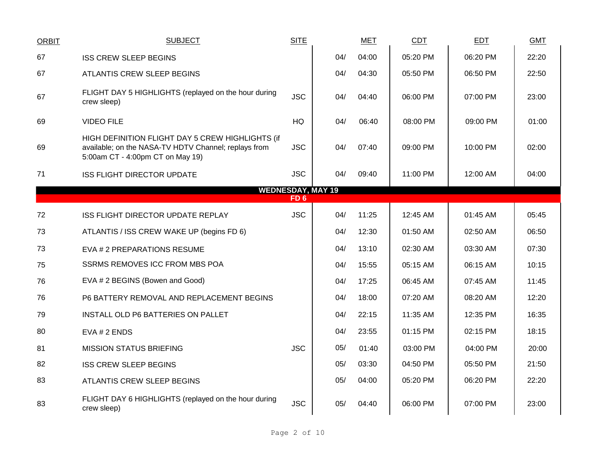| <b>ORBIT</b>             | <b>SUBJECT</b>                                                                                                                               | <b>SITE</b>     |     | <b>MET</b> | CDT      | EDT      | <b>GMT</b> |  |  |
|--------------------------|----------------------------------------------------------------------------------------------------------------------------------------------|-----------------|-----|------------|----------|----------|------------|--|--|
| 67                       | <b>ISS CREW SLEEP BEGINS</b>                                                                                                                 |                 | 04/ | 04:00      | 05:20 PM | 06:20 PM | 22:20      |  |  |
| 67                       | ATLANTIS CREW SLEEP BEGINS                                                                                                                   |                 | 04/ | 04:30      | 05:50 PM | 06:50 PM | 22:50      |  |  |
| 67                       | FLIGHT DAY 5 HIGHLIGHTS (replayed on the hour during<br>crew sleep)                                                                          | <b>JSC</b>      | 04/ | 04:40      | 06:00 PM | 07:00 PM | 23:00      |  |  |
| 69                       | <b>VIDEO FILE</b>                                                                                                                            | HQ              | 04/ | 06:40      | 08:00 PM | 09:00 PM | 01:00      |  |  |
| 69                       | HIGH DEFINITION FLIGHT DAY 5 CREW HIGHLIGHTS (if<br>available; on the NASA-TV HDTV Channel; replays from<br>5:00am CT - 4:00pm CT on May 19) | <b>JSC</b>      | 04/ | 07:40      | 09:00 PM | 10:00 PM | 02:00      |  |  |
| 71                       | <b>ISS FLIGHT DIRECTOR UPDATE</b>                                                                                                            | <b>JSC</b>      | 04/ | 09:40      | 11:00 PM | 12:00 AM | 04:00      |  |  |
| <b>WEDNESDAY, MAY 19</b> |                                                                                                                                              |                 |     |            |          |          |            |  |  |
|                          |                                                                                                                                              | FD <sub>6</sub> |     |            |          |          |            |  |  |
| 72                       | ISS FLIGHT DIRECTOR UPDATE REPLAY                                                                                                            | <b>JSC</b>      | 04/ | 11:25      | 12:45 AM | 01:45 AM | 05:45      |  |  |
| 73                       | ATLANTIS / ISS CREW WAKE UP (begins FD 6)                                                                                                    |                 | 04/ | 12:30      | 01:50 AM | 02:50 AM | 06:50      |  |  |
| 73                       | EVA # 2 PREPARATIONS RESUME                                                                                                                  |                 | 04/ | 13:10      | 02:30 AM | 03:30 AM | 07:30      |  |  |
| 75                       | <b>SSRMS REMOVES ICC FROM MBS POA</b>                                                                                                        |                 | 04/ | 15:55      | 05:15 AM | 06:15 AM | 10:15      |  |  |
| 76                       | EVA # 2 BEGINS (Bowen and Good)                                                                                                              |                 | 04/ | 17:25      | 06:45 AM | 07:45 AM | 11:45      |  |  |
| 76                       | P6 BATTERY REMOVAL AND REPLACEMENT BEGINS                                                                                                    |                 | 04/ | 18:00      | 07:20 AM | 08:20 AM | 12:20      |  |  |
| 79                       | INSTALL OLD P6 BATTERIES ON PALLET                                                                                                           |                 | 04/ | 22:15      | 11:35 AM | 12:35 PM | 16:35      |  |  |
| 80                       | EVA # 2 ENDS                                                                                                                                 |                 | 04/ | 23:55      | 01:15 PM | 02:15 PM | 18:15      |  |  |
| 81                       | <b>MISSION STATUS BRIEFING</b>                                                                                                               | <b>JSC</b>      | 05/ | 01:40      | 03:00 PM | 04:00 PM | 20:00      |  |  |
| 82                       | <b>ISS CREW SLEEP BEGINS</b>                                                                                                                 |                 | 05/ | 03:30      | 04:50 PM | 05:50 PM | 21:50      |  |  |
| 83                       | ATLANTIS CREW SLEEP BEGINS                                                                                                                   |                 | 05/ | 04:00      | 05:20 PM | 06:20 PM | 22:20      |  |  |
| 83                       | FLIGHT DAY 6 HIGHLIGHTS (replayed on the hour during<br>crew sleep)                                                                          | <b>JSC</b>      | 05/ | 04:40      | 06:00 PM | 07:00 PM | 23:00      |  |  |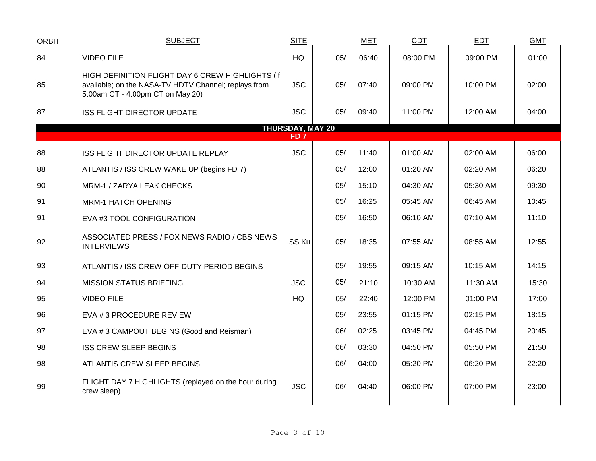| <b>ORBIT</b>            | <b>SUBJECT</b>                                                                                                                               | <b>SITE</b>   |     | <b>MET</b> | <b>CDT</b> | EDT      | <b>GMT</b> |  |  |  |
|-------------------------|----------------------------------------------------------------------------------------------------------------------------------------------|---------------|-----|------------|------------|----------|------------|--|--|--|
| 84                      | <b>VIDEO FILE</b>                                                                                                                            | <b>HQ</b>     | 05/ | 06:40      | 08:00 PM   | 09:00 PM | 01:00      |  |  |  |
| 85                      | HIGH DEFINITION FLIGHT DAY 6 CREW HIGHLIGHTS (if<br>available; on the NASA-TV HDTV Channel; replays from<br>5:00am CT - 4:00pm CT on May 20) | <b>JSC</b>    | 05/ | 07:40      | 09:00 PM   | 10:00 PM | 02:00      |  |  |  |
| 87                      | <b>ISS FLIGHT DIRECTOR UPDATE</b>                                                                                                            | <b>JSC</b>    | 05/ | 09:40      | 11:00 PM   | 12:00 AM | 04:00      |  |  |  |
| <b>THURSDAY, MAY 20</b> |                                                                                                                                              |               |     |            |            |          |            |  |  |  |
|                         | FD <sub>7</sub>                                                                                                                              |               |     |            |            |          |            |  |  |  |
| 88                      | ISS FLIGHT DIRECTOR UPDATE REPLAY                                                                                                            | <b>JSC</b>    | 05/ | 11:40      | 01:00 AM   | 02:00 AM | 06:00      |  |  |  |
| 88                      | ATLANTIS / ISS CREW WAKE UP (begins FD 7)                                                                                                    |               | 05/ | 12:00      | 01:20 AM   | 02:20 AM | 06:20      |  |  |  |
| 90                      | MRM-1 / ZARYA LEAK CHECKS                                                                                                                    |               | 05/ | 15:10      | 04:30 AM   | 05:30 AM | 09:30      |  |  |  |
| 91                      | <b>MRM-1 HATCH OPENING</b>                                                                                                                   |               | 05/ | 16:25      | 05:45 AM   | 06:45 AM | 10:45      |  |  |  |
| 91                      | EVA #3 TOOL CONFIGURATION                                                                                                                    |               | 05/ | 16:50      | 06:10 AM   | 07:10 AM | 11:10      |  |  |  |
| 92                      | ASSOCIATED PRESS / FOX NEWS RADIO / CBS NEWS<br><b>INTERVIEWS</b>                                                                            | <b>ISS Ku</b> | 05/ | 18:35      | 07:55 AM   | 08:55 AM | 12:55      |  |  |  |
| 93                      | ATLANTIS / ISS CREW OFF-DUTY PERIOD BEGINS                                                                                                   |               | 05/ | 19:55      | 09:15 AM   | 10:15 AM | 14:15      |  |  |  |
| 94                      | <b>MISSION STATUS BRIEFING</b>                                                                                                               | <b>JSC</b>    | 05/ | 21:10      | 10:30 AM   | 11:30 AM | 15:30      |  |  |  |
| 95                      | <b>VIDEO FILE</b>                                                                                                                            | HQ            | 05/ | 22:40      | 12:00 PM   | 01:00 PM | 17:00      |  |  |  |
| 96                      | EVA # 3 PROCEDURE REVIEW                                                                                                                     |               | 05/ | 23:55      | 01:15 PM   | 02:15 PM | 18:15      |  |  |  |
| 97                      | EVA #3 CAMPOUT BEGINS (Good and Reisman)                                                                                                     |               | 06/ | 02:25      | 03:45 PM   | 04:45 PM | 20:45      |  |  |  |
| 98                      | <b>ISS CREW SLEEP BEGINS</b>                                                                                                                 |               | 06/ | 03:30      | 04:50 PM   | 05:50 PM | 21:50      |  |  |  |
| 98                      | <b>ATLANTIS CREW SLEEP BEGINS</b>                                                                                                            |               | 06/ | 04:00      | 05:20 PM   | 06:20 PM | 22:20      |  |  |  |
| 99                      | FLIGHT DAY 7 HIGHLIGHTS (replayed on the hour during<br>crew sleep)                                                                          | <b>JSC</b>    | 06/ | 04:40      | 06:00 PM   | 07:00 PM | 23:00      |  |  |  |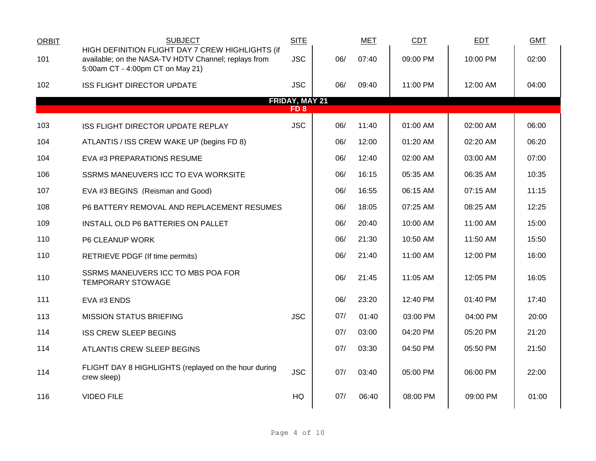| <b>ORBIT</b> | <b>SUBJECT</b>                                                                                                                               | <b>SITE</b>           |     | <b>MET</b> | <b>CDT</b> | <b>EDT</b> | <b>GMT</b> |
|--------------|----------------------------------------------------------------------------------------------------------------------------------------------|-----------------------|-----|------------|------------|------------|------------|
| 101          | HIGH DEFINITION FLIGHT DAY 7 CREW HIGHLIGHTS (if<br>available; on the NASA-TV HDTV Channel; replays from<br>5:00am CT - 4:00pm CT on May 21) | <b>JSC</b>            | 06/ | 07:40      | 09:00 PM   | 10:00 PM   | 02:00      |
| 102          | <b>ISS FLIGHT DIRECTOR UPDATE</b>                                                                                                            | <b>JSC</b>            | 06/ | 09:40      | 11:00 PM   | 12:00 AM   | 04:00      |
|              |                                                                                                                                              | <b>FRIDAY, MAY 21</b> |     |            |            |            |            |
|              |                                                                                                                                              | FD 8                  |     |            |            |            |            |
| 103          | <b>ISS FLIGHT DIRECTOR UPDATE REPLAY</b>                                                                                                     | <b>JSC</b>            | 06/ | 11:40      | 01:00 AM   | 02:00 AM   | 06:00      |
| 104          | ATLANTIS / ISS CREW WAKE UP (begins FD 8)                                                                                                    |                       | 06/ | 12:00      | 01:20 AM   | 02:20 AM   | 06:20      |
| 104          | EVA #3 PREPARATIONS RESUME                                                                                                                   |                       | 06/ | 12:40      | 02:00 AM   | 03:00 AM   | 07:00      |
| 106          | SSRMS MANEUVERS ICC TO EVA WORKSITE                                                                                                          |                       | 06/ | 16:15      | 05:35 AM   | 06:35 AM   | 10:35      |
| 107          | EVA #3 BEGINS (Reisman and Good)                                                                                                             |                       | 06/ | 16:55      | 06:15 AM   | 07:15 AM   | 11:15      |
| 108          | P6 BATTERY REMOVAL AND REPLACEMENT RESUMES                                                                                                   |                       | 06/ | 18:05      | 07:25 AM   | 08:25 AM   | 12:25      |
| 109          | INSTALL OLD P6 BATTERIES ON PALLET                                                                                                           |                       | 06/ | 20:40      | 10:00 AM   | 11:00 AM   | 15:00      |
| 110          | P6 CLEANUP WORK                                                                                                                              |                       | 06/ | 21:30      | 10:50 AM   | 11:50 AM   | 15:50      |
| 110          | <b>RETRIEVE PDGF (If time permits)</b>                                                                                                       |                       | 06/ | 21:40      | 11:00 AM   | 12:00 PM   | 16:00      |
| 110          | SSRMS MANEUVERS ICC TO MBS POA FOR<br><b>TEMPORARY STOWAGE</b>                                                                               |                       | 06/ | 21:45      | 11:05 AM   | 12:05 PM   | 16:05      |
| 111          | EVA #3 ENDS                                                                                                                                  |                       | 06/ | 23:20      | 12:40 PM   | 01:40 PM   | 17:40      |
| 113          | <b>MISSION STATUS BRIEFING</b>                                                                                                               | <b>JSC</b>            | 07/ | 01:40      | 03:00 PM   | 04:00 PM   | 20:00      |
| 114          | <b>ISS CREW SLEEP BEGINS</b>                                                                                                                 |                       | 07/ | 03:00      | 04:20 PM   | 05:20 PM   | 21:20      |
| 114          | ATLANTIS CREW SLEEP BEGINS                                                                                                                   |                       | 07/ | 03:30      | 04:50 PM   | 05:50 PM   | 21:50      |
| 114          | FLIGHT DAY 8 HIGHLIGHTS (replayed on the hour during<br>crew sleep)                                                                          | <b>JSC</b>            | 07/ | 03:40      | 05:00 PM   | 06:00 PM   | 22:00      |
| 116          | <b>VIDEO FILE</b>                                                                                                                            | <b>HQ</b>             | 07/ | 06:40      | 08:00 PM   | 09:00 PM   | 01:00      |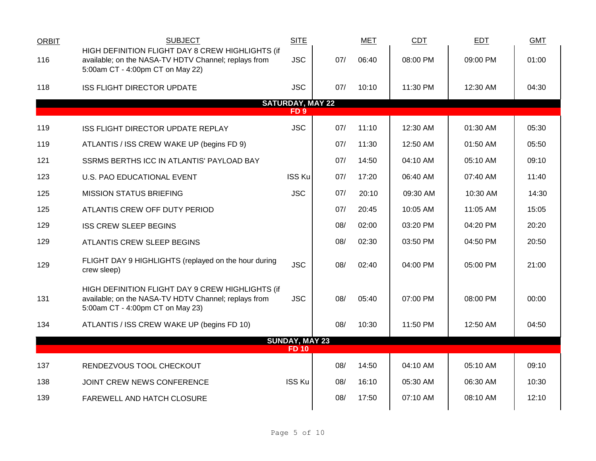| <b>ORBIT</b> | <b>SUBJECT</b>                                                                                                                               | <b>SITE</b>                                |     | MET   | <b>CDT</b> | EDT      | <b>GMT</b> |
|--------------|----------------------------------------------------------------------------------------------------------------------------------------------|--------------------------------------------|-----|-------|------------|----------|------------|
| 116          | HIGH DEFINITION FLIGHT DAY 8 CREW HIGHLIGHTS (if<br>available; on the NASA-TV HDTV Channel; replays from<br>5:00am CT - 4:00pm CT on May 22) | <b>JSC</b>                                 | 07/ | 06:40 | 08:00 PM   | 09:00 PM | 01:00      |
| 118          | <b>ISS FLIGHT DIRECTOR UPDATE</b>                                                                                                            | <b>JSC</b>                                 | 07/ | 10:10 | 11:30 PM   | 12:30 AM | 04:30      |
|              |                                                                                                                                              | <b>SATURDAY, MAY 22</b><br>FD <sub>9</sub> |     |       |            |          |            |
| 119          | ISS FLIGHT DIRECTOR UPDATE REPLAY                                                                                                            | <b>JSC</b>                                 | 07/ | 11:10 | 12:30 AM   | 01:30 AM | 05:30      |
| 119          | ATLANTIS / ISS CREW WAKE UP (begins FD 9)                                                                                                    |                                            | 07/ | 11:30 | 12:50 AM   | 01:50 AM | 05:50      |
| 121          | SSRMS BERTHS ICC IN ATLANTIS' PAYLOAD BAY                                                                                                    |                                            | 07/ | 14:50 | 04:10 AM   | 05:10 AM | 09:10      |
| 123          | U.S. PAO EDUCATIONAL EVENT                                                                                                                   | <b>ISS Ku</b>                              | 07/ | 17:20 | 06:40 AM   | 07:40 AM | 11:40      |
| 125          | <b>MISSION STATUS BRIEFING</b>                                                                                                               | <b>JSC</b>                                 | 07/ | 20:10 | 09:30 AM   | 10:30 AM | 14:30      |
| 125          | ATLANTIS CREW OFF DUTY PERIOD                                                                                                                |                                            | 07/ | 20:45 | 10:05 AM   | 11:05 AM | 15:05      |
| 129          | <b>ISS CREW SLEEP BEGINS</b>                                                                                                                 |                                            | 08/ | 02:00 | 03:20 PM   | 04:20 PM | 20:20      |
| 129          | ATLANTIS CREW SLEEP BEGINS                                                                                                                   |                                            | 08/ | 02:30 | 03:50 PM   | 04:50 PM | 20:50      |
| 129          | FLIGHT DAY 9 HIGHLIGHTS (replayed on the hour during<br>crew sleep)                                                                          | <b>JSC</b>                                 | 08/ | 02:40 | 04:00 PM   | 05:00 PM | 21:00      |
| 131          | HIGH DEFINITION FLIGHT DAY 9 CREW HIGHLIGHTS (if<br>available; on the NASA-TV HDTV Channel; replays from<br>5:00am CT - 4:00pm CT on May 23) | <b>JSC</b>                                 | 08/ | 05:40 | 07:00 PM   | 08:00 PM | 00:00      |
| 134          | ATLANTIS / ISS CREW WAKE UP (begins FD 10)                                                                                                   |                                            | 08/ | 10:30 | 11:50 PM   | 12:50 AM | 04:50      |
|              |                                                                                                                                              | <b>SUNDAY, MAY 23</b><br><b>FD 10</b>      |     |       |            |          |            |
| 137          | RENDEZVOUS TOOL CHECKOUT                                                                                                                     |                                            | 08/ | 14:50 | 04:10 AM   | 05:10 AM | 09:10      |
| 138          | JOINT CREW NEWS CONFERENCE                                                                                                                   | <b>ISS Ku</b>                              | 08/ | 16:10 | 05:30 AM   | 06:30 AM | 10:30      |
| 139          | FAREWELL AND HATCH CLOSURE                                                                                                                   |                                            | 08/ | 17:50 | 07:10 AM   | 08:10 AM | 12:10      |
|              |                                                                                                                                              |                                            |     |       |            |          |            |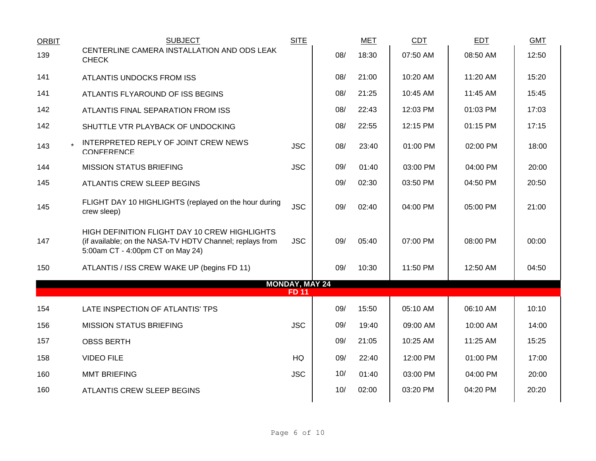| <b>ORBIT</b> | <b>SUBJECT</b>                                                                                                                                | <b>SITE</b>                           |     | <b>MET</b> | CDT      | <b>EDT</b> | <b>GMT</b> |
|--------------|-----------------------------------------------------------------------------------------------------------------------------------------------|---------------------------------------|-----|------------|----------|------------|------------|
| 139          | CENTERLINE CAMERA INSTALLATION AND ODS LEAK<br><b>CHECK</b>                                                                                   |                                       | 08/ | 18:30      | 07:50 AM | 08:50 AM   | 12:50      |
| 141          | ATLANTIS UNDOCKS FROM ISS                                                                                                                     |                                       | 08/ | 21:00      | 10:20 AM | 11:20 AM   | 15:20      |
| 141          | ATLANTIS FLYAROUND OF ISS BEGINS                                                                                                              |                                       | 08/ | 21:25      | 10:45 AM | 11:45 AM   | 15:45      |
| 142          | ATLANTIS FINAL SEPARATION FROM ISS                                                                                                            |                                       | 08/ | 22:43      | 12:03 PM | 01:03 PM   | 17:03      |
| 142          | SHUTTLE VTR PLAYBACK OF UNDOCKING                                                                                                             |                                       | 08/ | 22:55      | 12:15 PM | 01:15 PM   | 17:15      |
| 143          | INTERPRETED REPLY OF JOINT CREW NEWS<br>CONFERENCE                                                                                            | <b>JSC</b>                            | 08/ | 23:40      | 01:00 PM | 02:00 PM   | 18:00      |
| 144          | <b>MISSION STATUS BRIEFING</b>                                                                                                                | <b>JSC</b>                            | 09/ | 01:40      | 03:00 PM | 04:00 PM   | 20:00      |
| 145          | ATLANTIS CREW SLEEP BEGINS                                                                                                                    |                                       | 09/ | 02:30      | 03:50 PM | 04:50 PM   | 20:50      |
| 145          | FLIGHT DAY 10 HIGHLIGHTS (replayed on the hour during<br>crew sleep)                                                                          | <b>JSC</b>                            | 09/ | 02:40      | 04:00 PM | 05:00 PM   | 21:00      |
| 147          | HIGH DEFINITION FLIGHT DAY 10 CREW HIGHLIGHTS<br>(if available; on the NASA-TV HDTV Channel; replays from<br>5:00am CT - 4:00pm CT on May 24) | <b>JSC</b>                            | 09/ | 05:40      | 07:00 PM | 08:00 PM   | 00:00      |
| 150          | ATLANTIS / ISS CREW WAKE UP (begins FD 11)                                                                                                    |                                       | 09/ | 10:30      | 11:50 PM | 12:50 AM   | 04:50      |
|              |                                                                                                                                               | <b>MONDAY, MAY 24</b><br><b>FD 11</b> |     |            |          |            |            |
| 154          | LATE INSPECTION OF ATLANTIS' TPS                                                                                                              |                                       | 09/ | 15:50      | 05:10 AM | 06:10 AM   | 10:10      |
|              |                                                                                                                                               |                                       |     |            |          |            |            |
| 156          | <b>MISSION STATUS BRIEFING</b>                                                                                                                | <b>JSC</b>                            | 09/ | 19:40      | 09:00 AM | 10:00 AM   | 14:00      |
| 157          | <b>OBSS BERTH</b>                                                                                                                             |                                       | 09/ | 21:05      | 10:25 AM | 11:25 AM   | 15:25      |
| 158          | <b>VIDEO FILE</b>                                                                                                                             | HQ                                    | 09/ | 22:40      | 12:00 PM | 01:00 PM   | 17:00      |
| 160          | <b>MMT BRIEFING</b>                                                                                                                           | <b>JSC</b>                            | 10/ | 01:40      | 03:00 PM | 04:00 PM   | 20:00      |
| 160          | ATLANTIS CREW SLEEP BEGINS                                                                                                                    |                                       | 10/ | 02:00      | 03:20 PM | 04:20 PM   | 20:20      |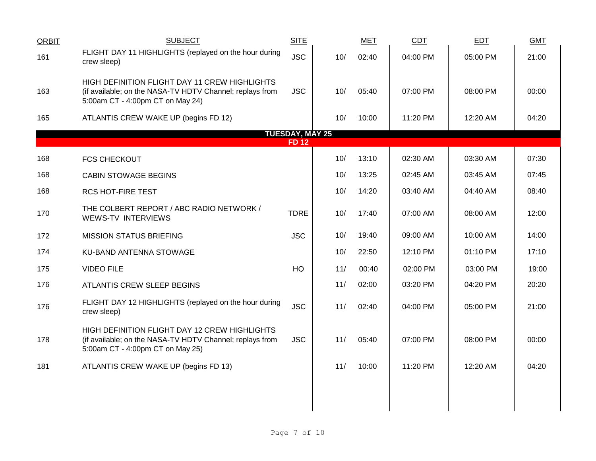| <b>ORBIT</b> | <b>SUBJECT</b>                                                                                                                                | <b>SITE</b>            |     | <b>MET</b> | CDT      | <b>EDT</b> | <b>GMT</b> |
|--------------|-----------------------------------------------------------------------------------------------------------------------------------------------|------------------------|-----|------------|----------|------------|------------|
| 161          | FLIGHT DAY 11 HIGHLIGHTS (replayed on the hour during<br>crew sleep)                                                                          | <b>JSC</b>             | 10/ | 02:40      | 04:00 PM | 05:00 PM   | 21:00      |
| 163          | HIGH DEFINITION FLIGHT DAY 11 CREW HIGHLIGHTS<br>(if available; on the NASA-TV HDTV Channel; replays from<br>5:00am CT - 4:00pm CT on May 24) | <b>JSC</b>             | 10/ | 05:40      | 07:00 PM | 08:00 PM   | 00:00      |
| 165          | ATLANTIS CREW WAKE UP (begins FD 12)                                                                                                          |                        | 10/ | 10:00      | 11:20 PM | 12:20 AM   | 04:20      |
|              |                                                                                                                                               | <b>TUESDAY, MAY 25</b> |     |            |          |            |            |
|              |                                                                                                                                               | <b>FD12</b>            |     |            |          |            |            |
| 168          | <b>FCS CHECKOUT</b>                                                                                                                           |                        | 10/ | 13:10      | 02:30 AM | 03:30 AM   | 07:30      |
| 168          | <b>CABIN STOWAGE BEGINS</b>                                                                                                                   |                        | 10/ | 13:25      | 02:45 AM | 03:45 AM   | 07:45      |
| 168          | <b>RCS HOT-FIRE TEST</b>                                                                                                                      |                        | 10/ | 14:20      | 03:40 AM | 04:40 AM   | 08:40      |
| 170          | THE COLBERT REPORT / ABC RADIO NETWORK /<br><b>WEWS-TV INTERVIEWS</b>                                                                         | <b>TDRE</b>            | 10/ | 17:40      | 07:00 AM | 08:00 AM   | 12:00      |
| 172          | <b>MISSION STATUS BRIEFING</b>                                                                                                                | <b>JSC</b>             | 10/ | 19:40      | 09:00 AM | 10:00 AM   | 14:00      |
| 174          | KU-BAND ANTENNA STOWAGE                                                                                                                       |                        | 10/ | 22:50      | 12:10 PM | 01:10 PM   | 17:10      |
| 175          | <b>VIDEO FILE</b>                                                                                                                             | HQ                     | 11/ | 00:40      | 02:00 PM | 03:00 PM   | 19:00      |
| 176          | ATLANTIS CREW SLEEP BEGINS                                                                                                                    |                        | 11/ | 02:00      | 03:20 PM | 04:20 PM   | 20:20      |
| 176          | FLIGHT DAY 12 HIGHLIGHTS (replayed on the hour during<br>crew sleep)                                                                          | <b>JSC</b>             | 11/ | 02:40      | 04:00 PM | 05:00 PM   | 21:00      |
| 178          | HIGH DEFINITION FLIGHT DAY 12 CREW HIGHLIGHTS<br>(if available; on the NASA-TV HDTV Channel; replays from<br>5:00am CT - 4:00pm CT on May 25) | <b>JSC</b>             | 11/ | 05:40      | 07:00 PM | 08:00 PM   | 00:00      |
| 181          | ATLANTIS CREW WAKE UP (begins FD 13)                                                                                                          |                        | 11/ | 10:00      | 11:20 PM | 12:20 AM   | 04:20      |
|              |                                                                                                                                               |                        |     |            |          |            |            |
|              |                                                                                                                                               |                        |     |            |          |            |            |
|              |                                                                                                                                               |                        |     |            |          |            |            |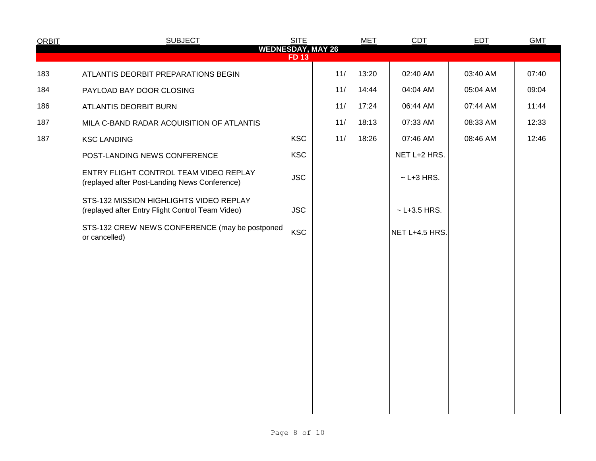| <b>ORBIT</b> | <b>SUBJECT</b>                                                                              | <b>SITE</b> |     | <b>MET</b> | CDT                | EDT      | <b>GMT</b> |
|--------------|---------------------------------------------------------------------------------------------|-------------|-----|------------|--------------------|----------|------------|
|              | <b>WEDNESDAY, MAY 26</b>                                                                    | <b>FD13</b> |     |            |                    |          |            |
| 183          | ATLANTIS DEORBIT PREPARATIONS BEGIN                                                         |             | 11/ | 13:20      | 02:40 AM           | 03:40 AM | 07:40      |
| 184          | PAYLOAD BAY DOOR CLOSING                                                                    |             | 11/ | 14:44      | 04:04 AM           | 05:04 AM | 09:04      |
| 186          | ATLANTIS DEORBIT BURN                                                                       |             | 11/ | 17:24      | 06:44 AM           | 07:44 AM | 11:44      |
| 187          | MILA C-BAND RADAR ACQUISITION OF ATLANTIS                                                   |             | 11/ | 18:13      | 07:33 AM           | 08:33 AM | 12:33      |
| 187          | <b>KSC LANDING</b>                                                                          | <b>KSC</b>  | 11/ | 18:26      | 07:46 AM           | 08:46 AM | 12:46      |
|              | POST-LANDING NEWS CONFERENCE                                                                | <b>KSC</b>  |     |            | NET L+2 HRS.       |          |            |
|              | ENTRY FLIGHT CONTROL TEAM VIDEO REPLAY<br>(replayed after Post-Landing News Conference)     | <b>JSC</b>  |     |            | $\sim$ L+3 HRS.    |          |            |
|              | STS-132 MISSION HIGHLIGHTS VIDEO REPLAY<br>(replayed after Entry Flight Control Team Video) | <b>JSC</b>  |     |            | $~\sim$ L+3.5 HRS. |          |            |
|              | STS-132 CREW NEWS CONFERENCE (may be postponed<br>or cancelled)                             | <b>KSC</b>  |     |            | NET L+4.5 HRS.     |          |            |
|              |                                                                                             |             |     |            |                    |          |            |
|              |                                                                                             |             |     |            |                    |          |            |
|              |                                                                                             |             |     |            |                    |          |            |
|              |                                                                                             |             |     |            |                    |          |            |
|              |                                                                                             |             |     |            |                    |          |            |
|              |                                                                                             |             |     |            |                    |          |            |
|              |                                                                                             |             |     |            |                    |          |            |
|              |                                                                                             |             |     |            |                    |          |            |
|              |                                                                                             |             |     |            |                    |          |            |
|              |                                                                                             |             |     |            |                    |          |            |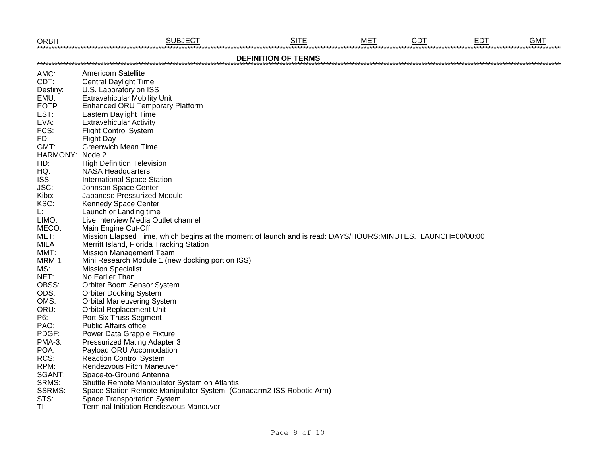| <b>ORBIT</b>           | <b>SUBJECT</b>                                                                                              | <b>SITE</b>                | <b>MET</b> | <b>CDT</b> | <b>EDT</b> | <b>GMT</b> |
|------------------------|-------------------------------------------------------------------------------------------------------------|----------------------------|------------|------------|------------|------------|
|                        |                                                                                                             | <b>DEFINITION OF TERMS</b> |            |            |            |            |
| AMC:                   | <b>Americom Satellite</b>                                                                                   |                            |            |            |            |            |
| CDT:                   | <b>Central Daylight Time</b>                                                                                |                            |            |            |            |            |
| Destiny:               | U.S. Laboratory on ISS                                                                                      |                            |            |            |            |            |
| EMU:                   | <b>Extravehicular Mobility Unit</b>                                                                         |                            |            |            |            |            |
| <b>EOTP</b>            | <b>Enhanced ORU Temporary Platform</b>                                                                      |                            |            |            |            |            |
| EST:                   | Eastern Daylight Time                                                                                       |                            |            |            |            |            |
| EVA:                   | <b>Extravehicular Activity</b>                                                                              |                            |            |            |            |            |
| FCS:                   | <b>Flight Control System</b>                                                                                |                            |            |            |            |            |
| FD:                    | <b>Flight Day</b>                                                                                           |                            |            |            |            |            |
| GMT:                   | <b>Greenwich Mean Time</b>                                                                                  |                            |            |            |            |            |
| HARMONY: Node 2        |                                                                                                             |                            |            |            |            |            |
| HD:                    | <b>High Definition Television</b>                                                                           |                            |            |            |            |            |
| HQ:                    | <b>NASA Headquarters</b>                                                                                    |                            |            |            |            |            |
| ISS:                   | <b>International Space Station</b>                                                                          |                            |            |            |            |            |
| JSC:                   | Johnson Space Center                                                                                        |                            |            |            |            |            |
| Kibo:                  | Japanese Pressurized Module                                                                                 |                            |            |            |            |            |
| KSC:                   | Kennedy Space Center                                                                                        |                            |            |            |            |            |
| L:                     | Launch or Landing time                                                                                      |                            |            |            |            |            |
| LIMO:                  | Live Interview Media Outlet channel                                                                         |                            |            |            |            |            |
| MECO:                  | Main Engine Cut-Off                                                                                         |                            |            |            |            |            |
| MET:                   | Mission Elapsed Time, which begins at the moment of launch and is read: DAYS/HOURS:MINUTES. LAUNCH=00/00:00 |                            |            |            |            |            |
| <b>MILA</b>            | Merritt Island, Florida Tracking Station                                                                    |                            |            |            |            |            |
| MMT:                   | <b>Mission Management Team</b>                                                                              |                            |            |            |            |            |
| MRM-1                  | Mini Research Module 1 (new docking port on ISS)                                                            |                            |            |            |            |            |
| MS:                    | <b>Mission Specialist</b>                                                                                   |                            |            |            |            |            |
| NET:                   | No Earlier Than                                                                                             |                            |            |            |            |            |
| OBSS:                  | Orbiter Boom Sensor System                                                                                  |                            |            |            |            |            |
| ODS:                   | <b>Orbiter Docking System</b>                                                                               |                            |            |            |            |            |
| OMS:                   | <b>Orbital Maneuvering System</b>                                                                           |                            |            |            |            |            |
| ORU:                   | <b>Orbital Replacement Unit</b>                                                                             |                            |            |            |            |            |
| P6:                    | Port Six Truss Segment                                                                                      |                            |            |            |            |            |
| PAO:                   | <b>Public Affairs office</b>                                                                                |                            |            |            |            |            |
| PDGF:                  | Power Data Grapple Fixture                                                                                  |                            |            |            |            |            |
| <b>PMA-3:</b>          | <b>Pressurized Mating Adapter 3</b>                                                                         |                            |            |            |            |            |
| POA:                   | Payload ORU Accomodation                                                                                    |                            |            |            |            |            |
| RCS:                   | <b>Reaction Control System</b>                                                                              |                            |            |            |            |            |
| RPM:                   | Rendezvous Pitch Maneuver                                                                                   |                            |            |            |            |            |
| SGANT:                 | Space-to-Ground Antenna                                                                                     |                            |            |            |            |            |
|                        |                                                                                                             |                            |            |            |            |            |
| SRMS:<br><b>SSRMS:</b> | Shuttle Remote Manipulator System on Atlantis                                                               |                            |            |            |            |            |
|                        | Space Station Remote Manipulator System (Canadarm2 ISS Robotic Arm)                                         |                            |            |            |            |            |
| STS:                   | Space Transportation System<br><b>Terminal Initiation Rendezvous Maneuver</b>                               |                            |            |            |            |            |
| TI:                    |                                                                                                             |                            |            |            |            |            |